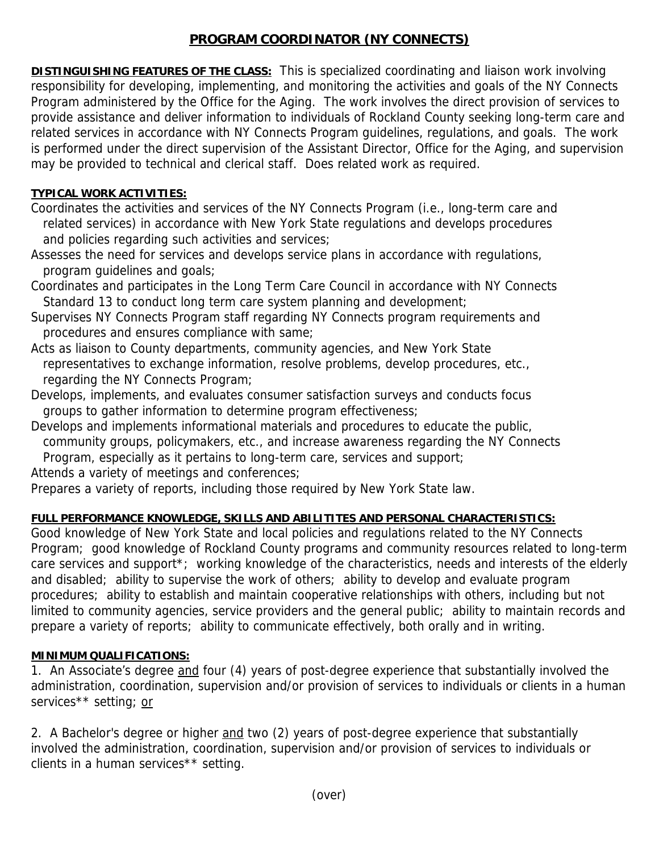# **PROGRAM COORDINATOR (NY CONNECTS)**

**DISTINGUISHING FEATURES OF THE CLASS:** This is specialized coordinating and liaison work involving responsibility for developing, implementing, and monitoring the activities and goals of the NY Connects Program administered by the Office for the Aging. The work involves the direct provision of services to provide assistance and deliver information to individuals of Rockland County seeking long-term care and related services in accordance with NY Connects Program guidelines, regulations, and goals. The work is performed under the direct supervision of the Assistant Director, Office for the Aging, and supervision may be provided to technical and clerical staff. Does related work as required.

#### **TYPICAL WORK ACTIVITIES:**

- Coordinates the activities and services of the NY Connects Program (i.e., long-term care and related services) in accordance with New York State regulations and develops procedures and policies regarding such activities and services;
- Assesses the need for services and develops service plans in accordance with regulations, program guidelines and goals;
- Coordinates and participates in the Long Term Care Council in accordance with NY Connects Standard 13 to conduct long term care system planning and development;
- Supervises NY Connects Program staff regarding NY Connects program requirements and procedures and ensures compliance with same;
- Acts as liaison to County departments, community agencies, and New York State representatives to exchange information, resolve problems, develop procedures, etc., regarding the NY Connects Program;
- Develops, implements, and evaluates consumer satisfaction surveys and conducts focus groups to gather information to determine program effectiveness;
- Develops and implements informational materials and procedures to educate the public, community groups, policymakers, etc., and increase awareness regarding the NY Connects Program, especially as it pertains to long-term care, services and support; Attends a variety of meetings and conferences;

Prepares a variety of reports, including those required by New York State law.

## **FULL PERFORMANCE KNOWLEDGE, SKILLS AND ABILITITES AND PERSONAL CHARACTERISTICS:**

Good knowledge of New York State and local policies and regulations related to the NY Connects Program; good knowledge of Rockland County programs and community resources related to long-term care services and support\*; working knowledge of the characteristics, needs and interests of the elderly and disabled; ability to supervise the work of others; ability to develop and evaluate program procedures; ability to establish and maintain cooperative relationships with others, including but not limited to community agencies, service providers and the general public; ability to maintain records and prepare a variety of reports; ability to communicate effectively, both orally and in writing.

## **MINIMUM QUALIFICATIONS:**

1. An Associate's degree and four (4) years of post-degree experience that substantially involved the administration, coordination, supervision and/or provision of services to individuals or clients in a human services\*\* setting; or

2. A Bachelor's degree or higher and two (2) years of post-degree experience that substantially involved the administration, coordination, supervision and/or provision of services to individuals or clients in a human services\*\* setting.